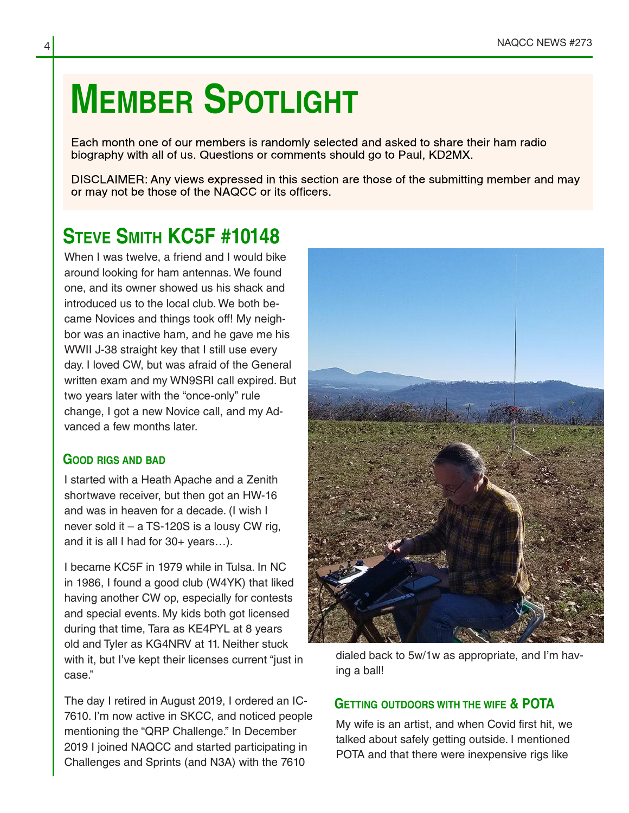## **MEMBER SPOTLIGHT**

Each month one of our members is randomly selected and asked to share their ham radio biography with all of us. Questions or comments should go to Paul, KD2MX.

DISCLAIMER: Any views expressed in this section are those of the submitting member and may or may not be those of the NAQCC or its officers.

## **STEVE SMITH KC5F #10148**

When I was twelve, a friend and I would bike around looking for ham antennas. We found one, and its owner showed us his shack and introduced us to the local club. We both be‐ came Novices and things took off! My neigh‐ bor was an inactive ham, and he gave me his WWII J-38 straight key that I still use every day. I loved CW, but was afraid of the General written exam and my WN9SRI call expired. But two years later with the "once-only" rule change, I got a new Novice call, and my Ad‐ vanced a few months later.

## **GOOD RIGS AND BAD**

I started with a Heath Apache and a Zenith shortwave receiver, but then got an HW-16 and was in heaven for a decade. (I wish I never sold it – a TS-120S is a lousy CW rig, and it is all I had for 30+ years…).

I became KC5F in 1979 while in Tulsa. In NC in 1986, I found a good club (W4YK) that liked having another CW op, especially for contests and special events. My kids both got licensed during that time, Tara as KE4PYL at 8 years old and Tyler as KG4NRV at 11. Neither stuck with it, but I've kept their licenses current "just in case."

The day I retired in August 2019, I ordered an IC-7610. I'm now active in SKCC, and noticed people mentioning the "QRP Challenge." In December 2019 I joined NAQCC and started participating in Challenges and Sprints (and N3A) with the 7610



dialed back to 5w/1w as appropriate, and I'm hav‐ ing a ball!

## **GETTING OUTDOORS WITH THE WIFE & POTA**

My wife is an artist, and when Covid first hit, we talked about safely getting outside. I mentioned POTA and that there were inexpensive rigs like